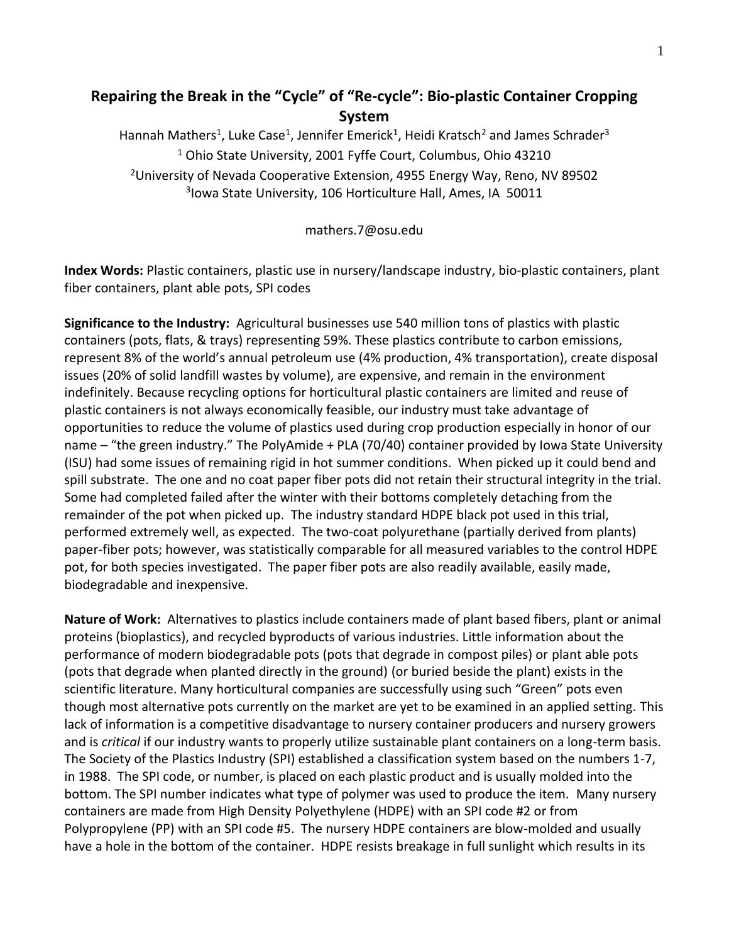## **Repairing the Break in the "Cycle" of "Re-cycle": Bio-plastic Container Cropping System**

Hannah Mathers<sup>1</sup>, Luke Case<sup>1</sup>, Jennifer Emerick<sup>1</sup>, Heidi Kratsch<sup>2</sup> and James Schrader<sup>3</sup> <sup>1</sup> Ohio State University, 2001 Fyffe Court, Columbus, Ohio 43210 <sup>2</sup>University of Nevada Cooperative Extension, 4955 Energy Way, Reno, NV 89502 3 Iowa State University, 106 Horticulture Hall, Ames, IA 50011

mathers.7@osu.edu

**Index Words:** Plastic containers, plastic use in nursery/landscape industry, bio-plastic containers, plant fiber containers, plant able pots, SPI codes

**Significance to the Industry:** Agricultural businesses use 540 million tons of plastics with plastic containers (pots, flats, & trays) representing 59%. These plastics contribute to carbon emissions, represent 8% of the world's annual petroleum use (4% production, 4% transportation), create disposal issues (20% of solid landfill wastes by volume), are expensive, and remain in the environment indefinitely. Because recycling options for horticultural plastic containers are limited and reuse of plastic containers is not always economically feasible, our industry must take advantage of opportunities to reduce the volume of plastics used during crop production especially in honor of our name – "the green industry." The PolyAmide + PLA (70/40) container provided by Iowa State University (ISU) had some issues of remaining rigid in hot summer conditions. When picked up it could bend and spill substrate. The one and no coat paper fiber pots did not retain their structural integrity in the trial. Some had completed failed after the winter with their bottoms completely detaching from the remainder of the pot when picked up. The industry standard HDPE black pot used in this trial, performed extremely well, as expected. The two-coat polyurethane (partially derived from plants) paper-fiber pots; however, was statistically comparable for all measured variables to the control HDPE pot, for both species investigated. The paper fiber pots are also readily available, easily made, biodegradable and inexpensive.

**Nature of Work:** Alternatives to plastics include containers made of plant based fibers, plant or animal proteins (bioplastics), and recycled byproducts of various industries. Little information about the performance of modern biodegradable pots (pots that degrade in compost piles) or plant able pots (pots that degrade when planted directly in the ground) (or buried beside the plant) exists in the scientific literature. Many horticultural companies are successfully using such "Green" pots even though most alternative pots currently on the market are yet to be examined in an applied setting. This lack of information is a competitive disadvantage to nursery container producers and nursery growers and is *critical* if our industry wants to properly utilize sustainable plant containers on a long-term basis. The Society of the Plastics Industry (SPI) established a classification system based on the numbers 1-7, in 1988. The SPI code, or number, is placed on each plastic product and is usually molded into the bottom. The SPI number indicates what type of polymer was used to produce the item. Many nursery containers are made from High Density Polyethylene (HDPE) with an SPI code #2 or from Polypropylene (PP) with an SPI code #5. The nursery HDPE containers are blow-molded and usually have a hole in the bottom of the container. HDPE resists breakage in full sunlight which results in its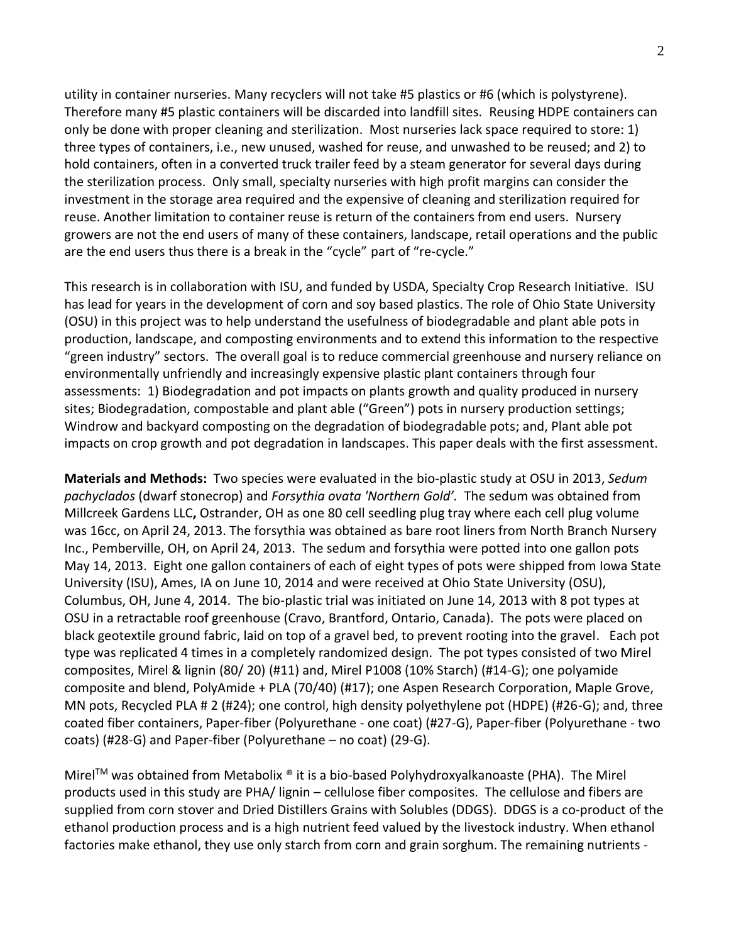utility in container nurseries. Many recyclers will not take #5 plastics or #6 (which is polystyrene). Therefore many #5 plastic containers will be discarded into landfill sites. Reusing HDPE containers can only be done with proper cleaning and sterilization. Most nurseries lack space required to store: 1) three types of containers, i.e., new unused, washed for reuse, and unwashed to be reused; and 2) to hold containers, often in a converted truck trailer feed by a steam generator for several days during the sterilization process. Only small, specialty nurseries with high profit margins can consider the investment in the storage area required and the expensive of cleaning and sterilization required for reuse. Another limitation to container reuse is return of the containers from end users. Nursery growers are not the end users of many of these containers, landscape, retail operations and the public are the end users thus there is a break in the "cycle" part of "re-cycle."

This research is in collaboration with ISU, and funded by USDA, Specialty Crop Research Initiative. ISU has lead for years in the development of corn and soy based plastics. The role of Ohio State University (OSU) in this project was to help understand the usefulness of biodegradable and plant able pots in production, landscape, and composting environments and to extend this information to the respective "green industry" sectors. The overall goal is to reduce commercial greenhouse and nursery reliance on environmentally unfriendly and increasingly expensive plastic plant containers through four assessments: 1) Biodegradation and pot impacts on plants growth and quality produced in nursery sites; Biodegradation, compostable and plant able ("Green") pots in nursery production settings; Windrow and backyard composting on the degradation of biodegradable pots; and, Plant able pot impacts on crop growth and pot degradation in landscapes. This paper deals with the first assessment.

**Materials and Methods:** Two species were evaluated in the bio-plastic study at OSU in 2013, *Sedum pachyclados* (dwarf stonecrop) and *Forsythia ovata 'Northern Gold'.* The sedum was obtained from Millcreek Gardens LLC**,** Ostrander, OH as one 80 cell seedling plug tray where each cell plug volume was 16cc, on April 24, 2013. The forsythia was obtained as bare root liners from North Branch Nursery Inc., Pemberville, OH, on April 24, 2013. The sedum and forsythia were potted into one gallon pots May 14, 2013. Eight one gallon containers of each of eight types of pots were shipped from Iowa State University (ISU), Ames, IA on June 10, 2014 and were received at Ohio State University (OSU), Columbus, OH, June 4, 2014. The bio-plastic trial was initiated on June 14, 2013 with 8 pot types at OSU in a retractable roof greenhouse (Cravo, Brantford, Ontario, Canada). The pots were placed on black geotextile ground fabric, laid on top of a gravel bed, to prevent rooting into the gravel. Each pot type was replicated 4 times in a completely randomized design. The pot types consisted of two Mirel composites, Mirel & lignin (80/ 20) (#11) and, Mirel P1008 (10% Starch) (#14-G); one polyamide composite and blend, PolyAmide + PLA (70/40) (#17); one Aspen Research Corporation, Maple Grove, MN pots, Recycled PLA # 2 (#24); one control, high density polyethylene pot (HDPE) (#26-G); and, three coated fiber containers, Paper-fiber (Polyurethane - one coat) (#27-G), Paper-fiber (Polyurethane - two coats) (#28-G) and Paper-fiber (Polyurethane – no coat) (29-G).

Mirel $TM$  was obtained from Metabolix  $\bullet$  it is a bio-based Polyhydroxyalkanoaste (PHA). The Mirel products used in this study are PHA/ lignin – cellulose fiber composites. The cellulose and fibers are supplied from corn stover and Dried Distillers Grains with Solubles (DDGS). DDGS is a co-product of the ethanol production process and is a high nutrient feed valued by the livestock industry. When ethanol factories make ethanol, they use only starch from corn and grain sorghum. The remaining nutrients -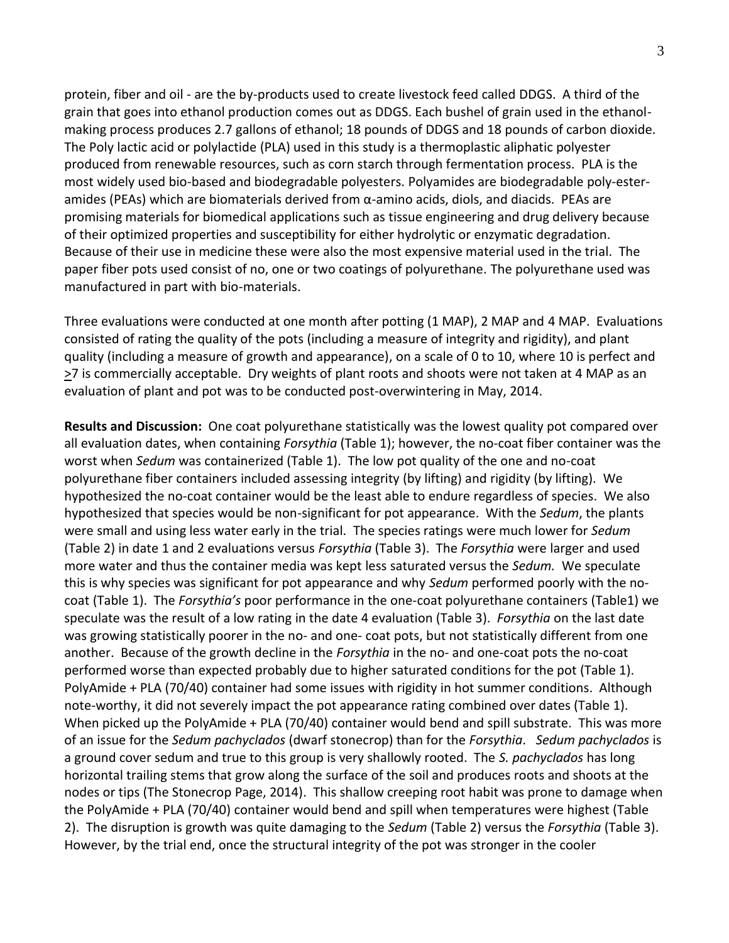protein, fiber and oil - are the by-products used to create livestock feed called DDGS. A third of the grain that goes into ethanol production comes out as DDGS. Each bushel of grain used in the ethanolmaking process produces 2.7 gallons of ethanol; 18 pounds of DDGS and 18 pounds of carbon dioxide. The Poly lactic acid or polylactide (PLA) used in this study is a thermoplastic aliphatic polyester produced from renewable resources, such as corn starch through fermentation process. PLA is the most widely used bio-based and biodegradable polyesters. Polyamides are biodegradable poly-esteramides (PEAs) which are biomaterials derived from  $\alpha$ -amino acids, diols, and diacids. PEAs are promising materials for biomedical applications such as tissue engineering and drug delivery because of their optimized properties and susceptibility for either hydrolytic or enzymatic degradation. Because of their use in medicine these were also the most expensive material used in the trial. The paper fiber pots used consist of no, one or two coatings of polyurethane. The polyurethane used was manufactured in part with bio-materials.

Three evaluations were conducted at one month after potting (1 MAP), 2 MAP and 4 MAP. Evaluations consisted of rating the quality of the pots (including a measure of integrity and rigidity), and plant quality (including a measure of growth and appearance), on a scale of 0 to 10, where 10 is perfect and >7 is commercially acceptable. Dry weights of plant roots and shoots were not taken at 4 MAP as an evaluation of plant and pot was to be conducted post-overwintering in May, 2014.

**Results and Discussion:** One coat polyurethane statistically was the lowest quality pot compared over all evaluation dates, when containing *Forsythia* (Table 1); however, the no-coat fiber container was the worst when *Sedum* was containerized (Table 1). The low pot quality of the one and no-coat polyurethane fiber containers included assessing integrity (by lifting) and rigidity (by lifting). We hypothesized the no-coat container would be the least able to endure regardless of species. We also hypothesized that species would be non-significant for pot appearance. With the *Sedum*, the plants were small and using less water early in the trial. The species ratings were much lower for *Sedum* (Table 2) in date 1 and 2 evaluations versus *Forsythia* (Table 3). The *Forsythia* were larger and used more water and thus the container media was kept less saturated versus the *Sedum.* We speculate this is why species was significant for pot appearance and why *Sedum* performed poorly with the nocoat (Table 1). The *Forsythia's* poor performance in the one-coat polyurethane containers (Table1) we speculate was the result of a low rating in the date 4 evaluation (Table 3). *Forsythia* on the last date was growing statistically poorer in the no- and one- coat pots, but not statistically different from one another. Because of the growth decline in the *Forsythia* in the no- and one-coat pots the no-coat performed worse than expected probably due to higher saturated conditions for the pot (Table 1). PolyAmide + PLA (70/40) container had some issues with rigidity in hot summer conditions. Although note-worthy, it did not severely impact the pot appearance rating combined over dates (Table 1). When picked up the PolyAmide + PLA (70/40) container would bend and spill substrate. This was more of an issue for the *Sedum pachyclados* (dwarf stonecrop) than for the *Forsythia*. *Sedum pachyclados* is a ground cover sedum and true to this group is very shallowly rooted. The *S. pachyclados* has long horizontal trailing stems that grow along the surface of the soil and produces roots and shoots at the nodes or tips (The Stonecrop Page, 2014). This shallow creeping root habit was prone to damage when the PolyAmide + PLA (70/40) container would bend and spill when temperatures were highest (Table 2). The disruption is growth was quite damaging to the *Sedum* (Table 2) versus the *Forsythia* (Table 3). However, by the trial end, once the structural integrity of the pot was stronger in the cooler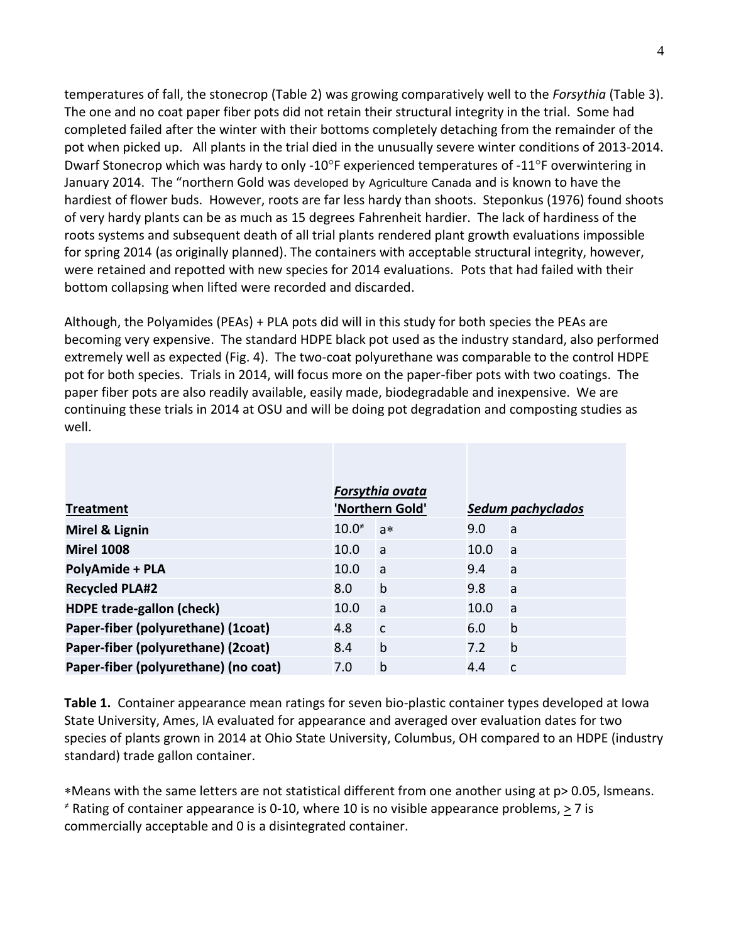temperatures of fall, the stonecrop (Table 2) was growing comparatively well to the *Forsythia* (Table 3). The one and no coat paper fiber pots did not retain their structural integrity in the trial. Some had completed failed after the winter with their bottoms completely detaching from the remainder of the pot when picked up. All plants in the trial died in the unusually severe winter conditions of 2013-2014. Dwarf Stonecrop which was hardy to only -10 $\degree$ F experienced temperatures of -11 $\degree$ F overwintering in January 2014. The "northern Gold was developed by Agriculture Canada and is known to have the hardiest of flower buds. However, roots are far less hardy than shoots. Steponkus (1976) found shoots of very hardy plants can be as much as 15 degrees Fahrenheit hardier. The lack of hardiness of the roots systems and subsequent death of all trial plants rendered plant growth evaluations impossible for spring 2014 (as originally planned). The containers with acceptable structural integrity, however, were retained and repotted with new species for 2014 evaluations. Pots that had failed with their bottom collapsing when lifted were recorded and discarded.

Although, the Polyamides (PEAs) + PLA pots did will in this study for both species the PEAs are becoming very expensive. The standard HDPE black pot used as the industry standard, also performed extremely well as expected (Fig. 4). The two-coat polyurethane was comparable to the control HDPE pot for both species. Trials in 2014, will focus more on the paper-fiber pots with two coatings. The paper fiber pots are also readily available, easily made, biodegradable and inexpensive. We are continuing these trials in 2014 at OSU and will be doing pot degradation and composting studies as well.

| <b>Treatment</b>                     | Forsythia ovata<br>'Northern Gold' |              | Sedum pachyclados |              |  |
|--------------------------------------|------------------------------------|--------------|-------------------|--------------|--|
| Mirel & Lignin                       | 10.0 <sup>2</sup>                  | $a*$         | 9.0               | a            |  |
| <b>Mirel 1008</b>                    | 10.0                               | a            | 10.0              | <b>a</b>     |  |
| <b>PolyAmide + PLA</b>               | 10.0                               | a            | 9.4               | a            |  |
| <b>Recycled PLA#2</b>                | 8.0                                | $\mathsf b$  | 9.8               | a            |  |
| <b>HDPE trade-gallon (check)</b>     | 10.0                               | a            | 10.0              | <b>a</b>     |  |
| Paper-fiber (polyurethane) (1coat)   | 4.8                                | $\mathsf{C}$ | 6.0               | $\mathsf{b}$ |  |
| Paper-fiber (polyurethane) (2coat)   | 8.4                                | b            | 7.2               | $\mathsf b$  |  |
| Paper-fiber (polyurethane) (no coat) | 7.0                                | $\mathsf b$  | 4.4               | $\mathsf{C}$ |  |

**Table 1.** Container appearance mean ratings for seven bio-plastic container types developed at Iowa State University, Ames, IA evaluated for appearance and averaged over evaluation dates for two species of plants grown in 2014 at Ohio State University, Columbus, OH compared to an HDPE (industry standard) trade gallon container.

Means with the same letters are not statistical different from one another using at p> 0.05, lsmeans.  $*$  Rating of container appearance is 0-10, where 10 is no visible appearance problems,  $\geq$  7 is commercially acceptable and 0 is a disintegrated container.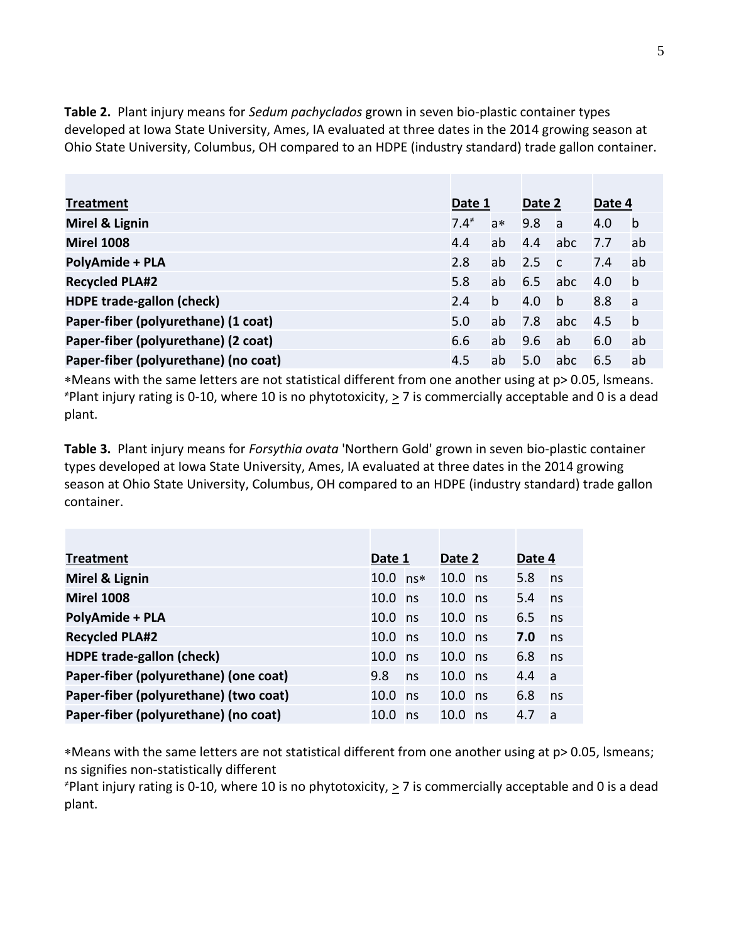**Table 2.** Plant injury means for *Sedum pachyclados* grown in seven bio-plastic container types developed at Iowa State University, Ames, IA evaluated at three dates in the 2014 growing season at Ohio State University, Columbus, OH compared to an HDPE (industry standard) trade gallon container.

| <b>Treatment</b>                     |         | Date 1 |     | Date 2         |     | Date 4       |  |
|--------------------------------------|---------|--------|-----|----------------|-----|--------------|--|
| Mirel & Lignin                       | $7.4^*$ | $a*$   | 9.8 | <sub>a</sub>   | 4.0 | $\mathsf{b}$ |  |
| <b>Mirel 1008</b>                    | 4.4     | ab     | 4.4 | abc            | 7.7 | ab           |  |
| <b>PolyAmide + PLA</b>               | 2.8     | ab     | 2.5 | $\overline{c}$ | 7.4 | ab           |  |
| <b>Recycled PLA#2</b>                | 5.8     | ab     | 6.5 | abc            | 4.0 | $\mathsf{b}$ |  |
| <b>HDPE trade-gallon (check)</b>     | 2.4     | b      | 4.0 | $\mathsf{b}$   | 8.8 | a            |  |
| Paper-fiber (polyurethane) (1 coat)  | 5.0     | ab     | 7.8 | abc            | 4.5 | $\mathbf b$  |  |
| Paper-fiber (polyurethane) (2 coat)  | 6.6     | ab     | 9.6 | ab             | 6.0 | ab           |  |
| Paper-fiber (polyurethane) (no coat) | 4.5     | ab     | 5.0 | abc            | 6.5 | ab           |  |

Means with the same letters are not statistical different from one another using at p> 0.05, lsmeans.  $*$ Plant injury rating is 0-10, where 10 is no phytotoxicity,  $\geq$  7 is commercially acceptable and 0 is a dead plant.

**Table 3.** Plant injury means for *Forsythia ovata* 'Northern Gold' grown in seven bio-plastic container types developed at Iowa State University, Ames, IA evaluated at three dates in the 2014 growing season at Ohio State University, Columbus, OH compared to an HDPE (industry standard) trade gallon container.

| <b>Treatment</b>                      | Date 1     |    | Date 2    |  | Date 4 |              |
|---------------------------------------|------------|----|-----------|--|--------|--------------|
| Mirel & Lignin                        | $10.0$ ns* |    | $10.0$ ns |  | 5.8    | ns           |
| <b>Mirel 1008</b>                     | $10.0$ ns  |    | $10.0$ ns |  | 5.4    | ns           |
| <b>PolyAmide + PLA</b>                | $10.0$ ns  |    | $10.0$ ns |  | 6.5    | ns           |
| <b>Recycled PLA#2</b>                 | 10.0 ns    |    | $10.0$ ns |  | 7.0    | ns           |
| <b>HDPE trade-gallon (check)</b>      | $10.0$ ns  |    | $10.0$ ns |  | 6.8    | ns           |
| Paper-fiber (polyurethane) (one coat) | 9.8        | ns | $10.0$ ns |  | 4.4    | <sub>a</sub> |
| Paper-fiber (polyurethane) (two coat) | $10.0$ ns  |    | $10.0$ ns |  | 6.8    | ns           |
| Paper-fiber (polyurethane) (no coat)  | 10.0       | ns | $10.0$ ns |  | 4.7    | <b>a</b>     |

Means with the same letters are not statistical different from one another using at p> 0.05, lsmeans; ns signifies non-statistically different

 $*$ Plant injury rating is 0-10, where 10 is no phytotoxicity,  $\geq$  7 is commercially acceptable and 0 is a dead plant.